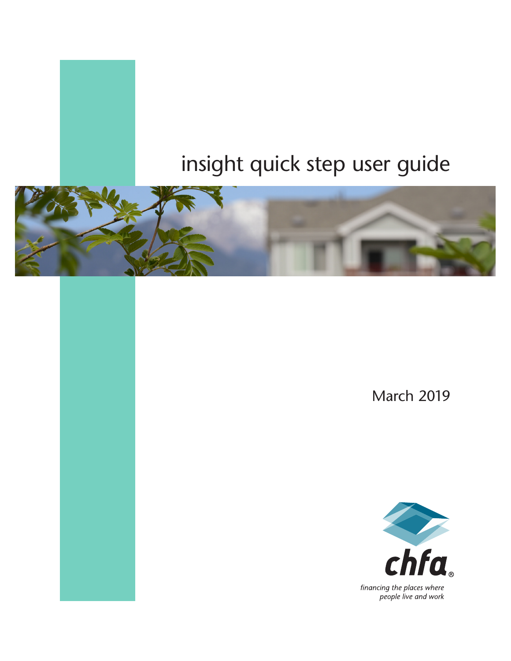# insight quick step user guide



March 2019

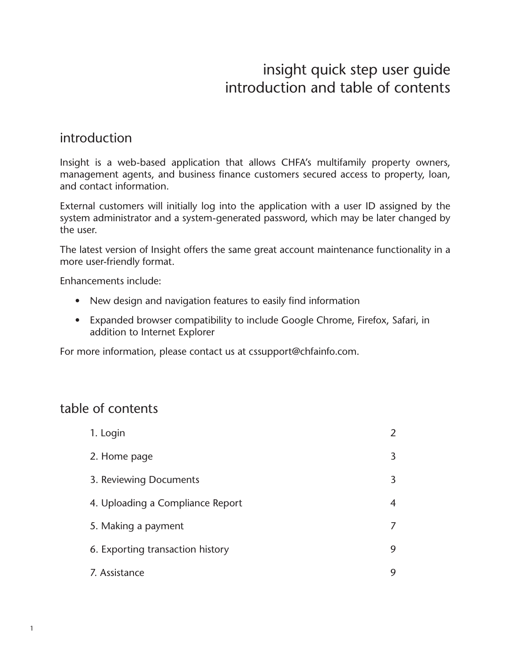## insight quick step user guide introduction and table of contents

#### introduction

Insight is a web-based application that allows CHFA's multifamily property owners, management agents, and business finance customers secured access to property, loan, and contact information.

External customers will initially log into the application with a user ID assigned by the system administrator and a system-generated password, which may be later changed by the user.

The latest version of Insight offers the same great account maintenance functionality in a more user-friendly format.

Enhancements include:

- New design and navigation features to easily find information
- Expanded browser compatibility to include Google Chrome, Firefox, Safari, in addition to Internet Explorer

For more information, please contact us at cssupport@chfainfo.com.

#### table of contents

| 1. Login                         | 2 |
|----------------------------------|---|
| 2. Home page                     | 3 |
| 3. Reviewing Documents           | 3 |
| 4. Uploading a Compliance Report | 4 |
| 5. Making a payment              | 7 |
| 6. Exporting transaction history | 9 |
| 7. Assistance                    | 9 |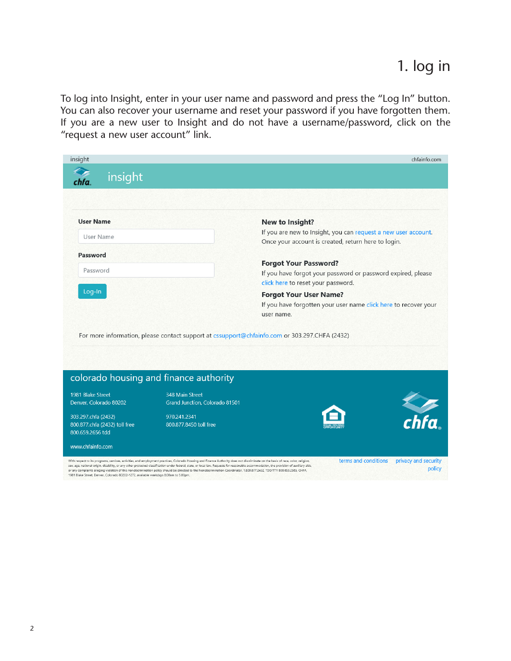To log into Insight, enter in your user name and password and press the "Log In" button. You can also recover your username and reset your password if you have forgotten them. If you are a new user to Insight and do not have a username/password, click on the "request a new user account" link.

| insight                                                                              |                                                                                                                                                                                                                                                                                                                                                                                                                                                                                                                                                             |                                                                                                                                        | chfainfo.com                                                   |  |
|--------------------------------------------------------------------------------------|-------------------------------------------------------------------------------------------------------------------------------------------------------------------------------------------------------------------------------------------------------------------------------------------------------------------------------------------------------------------------------------------------------------------------------------------------------------------------------------------------------------------------------------------------------------|----------------------------------------------------------------------------------------------------------------------------------------|----------------------------------------------------------------|--|
| insight                                                                              |                                                                                                                                                                                                                                                                                                                                                                                                                                                                                                                                                             |                                                                                                                                        |                                                                |  |
|                                                                                      |                                                                                                                                                                                                                                                                                                                                                                                                                                                                                                                                                             |                                                                                                                                        |                                                                |  |
| <b>User Name</b>                                                                     |                                                                                                                                                                                                                                                                                                                                                                                                                                                                                                                                                             | New to Insight?                                                                                                                        |                                                                |  |
| User Name                                                                            |                                                                                                                                                                                                                                                                                                                                                                                                                                                                                                                                                             | Once your account is created, return here to login.                                                                                    | If you are new to Insight, you can request a new user account. |  |
| Password                                                                             |                                                                                                                                                                                                                                                                                                                                                                                                                                                                                                                                                             | <b>Forgot Your Password?</b>                                                                                                           |                                                                |  |
| Password                                                                             |                                                                                                                                                                                                                                                                                                                                                                                                                                                                                                                                                             |                                                                                                                                        | If you have forgot your password or password expired, please   |  |
| Log-In                                                                               |                                                                                                                                                                                                                                                                                                                                                                                                                                                                                                                                                             | click here to reset your password.<br><b>Forgot Your User Name?</b><br>If you have forgotten your user name click here to recover your |                                                                |  |
|                                                                                      | For more information, please contact support at cssupport@chfainfo.com or 303.297.CHFA (2432)                                                                                                                                                                                                                                                                                                                                                                                                                                                               | user name.                                                                                                                             |                                                                |  |
|                                                                                      |                                                                                                                                                                                                                                                                                                                                                                                                                                                                                                                                                             |                                                                                                                                        |                                                                |  |
| colorado housing and finance authority                                               |                                                                                                                                                                                                                                                                                                                                                                                                                                                                                                                                                             |                                                                                                                                        |                                                                |  |
| 1981 Blake Street<br>Denver, Colorado 80202                                          | 348 Main Street<br>Grand Junction, Colorado 81501                                                                                                                                                                                                                                                                                                                                                                                                                                                                                                           |                                                                                                                                        |                                                                |  |
|                                                                                      |                                                                                                                                                                                                                                                                                                                                                                                                                                                                                                                                                             |                                                                                                                                        | $\sum_{chfa}$                                                  |  |
| 303.297.chfa (2432)<br>800.877.chfa (2432) toll free<br>800.659.2656 tdd             | 970.241.2341<br>800.877.8450 toll free                                                                                                                                                                                                                                                                                                                                                                                                                                                                                                                      |                                                                                                                                        |                                                                |  |
| www.chfainfo.com                                                                     |                                                                                                                                                                                                                                                                                                                                                                                                                                                                                                                                                             |                                                                                                                                        |                                                                |  |
| 1981 Blake Street, Denver, Colorado 80202-1272, available weekdays 8:00am to 5:00pm. | With respect to its programs, services, activities, and employment practices, Colorado Housing and Finance Authority does not discriminate on the basis of race, color, religion,<br>sex, age, national origin, disability, or any other protected classification under federal, state, or local law. Requests for reasonable accommodation, the provision of auxiliary aids,<br>or any complaints alleging violation of this nondiscrimination policy should be directed to the Nondiscrimination Coordinator, 1.800.877.2432, TDD/TTY 800.659.2565, CHFA, |                                                                                                                                        | terms and conditions<br>privacy and security<br>policy         |  |
|                                                                                      |                                                                                                                                                                                                                                                                                                                                                                                                                                                                                                                                                             |                                                                                                                                        |                                                                |  |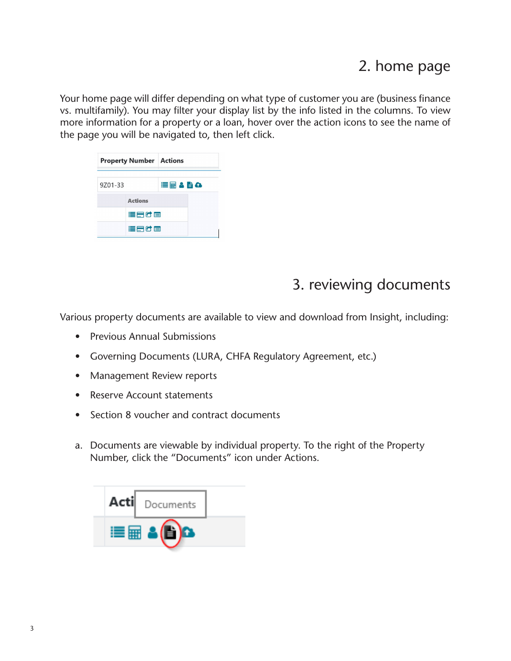## 2. home page

Your home page will differ depending on what type of customer you are (business finance vs. multifamily). You may filter your display list by the info listed in the columns. To view more information for a property or a loan, hover over the action icons to see the name of the page you will be navigated to, then left click.

|         | <b>Property Number Actions</b> |       |
|---------|--------------------------------|-------|
| 9701-33 |                                | ≡■▲■△ |
|         | <b>Actions</b>                 |       |
|         | 追帰に回                           |       |
|         | 這麼吃個                           |       |

# 3. reviewing documents

Various property documents are available to view and download from Insight, including:

- Previous Annual Submissions
- Governing Documents (LURA, CHFA Regulatory Agreement, etc.)
- Management Review reports
- Reserve Account statements
- Section 8 voucher and contract documents
- a. Documents are viewable by individual property. To the right of the Property Number, click the "Documents" icon under Actions.

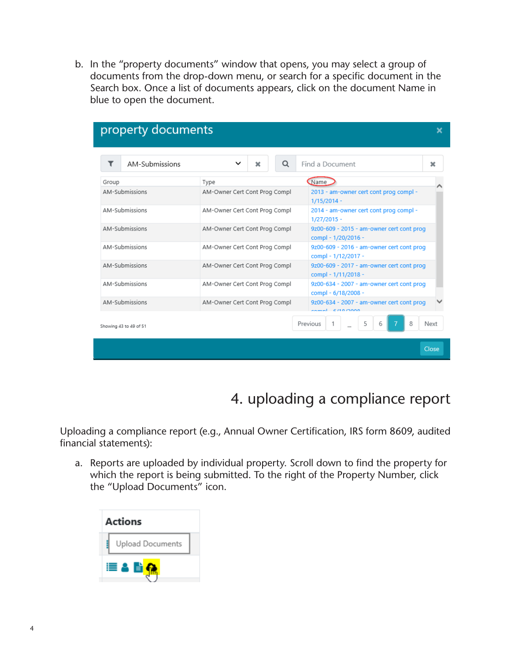b. In the "property documents" window that opens, you may select a group of documents from the drop-down menu, or search for a specific document in the Search box. Once a list of documents appears, click on the document Name in blue to open the document.

| property documents     |                               |                                                                  |       |
|------------------------|-------------------------------|------------------------------------------------------------------|-------|
| AM-Submissions         | Q<br>◡<br>×                   | Find a Document                                                  | ×     |
| Group                  | Type                          | <b>C</b> Name                                                    |       |
| AM-Submissions         | AM-Owner Cert Cont Prog Compl | 2013 - am-owner cert cont prog compl -<br>$1/15/2014 -$          |       |
| AM-Submissions         | AM-Owner Cert Cont Prog Compl | 2014 - am-owner cert cont prog compl -<br>$1/27/2015 -$          |       |
| <b>AM-Submissions</b>  | AM-Owner Cert Cont Prog Compl | 9z00-609 - 2015 - am-owner cert cont prog<br>compl - 1/20/2016 - |       |
| AM-Submissions         | AM-Owner Cert Cont Prog Compl | 9z00-609 - 2016 - am-owner cert cont prog<br>compl - 1/12/2017 - |       |
| AM-Submissions         | AM-Owner Cert Cont Prog Compl | 9z00-609 - 2017 - am-owner cert cont prog<br>compl - 1/11/2018 - |       |
| AM-Submissions         | AM-Owner Cert Cont Prog Compl | 9z00-634 - 2007 - am-owner cert cont prog<br>compl - 6/18/2008 - |       |
| AM-Submissions         | AM-Owner Cert Cont Prog Compl | 9z00-634 - 2007 - am-owner cert cont prog<br>$10000$ $10000$     |       |
| Showing 43 to 49 of 51 |                               | 8<br>Previous<br>5<br>6<br>$\cdots$                              | Next  |
|                        |                               |                                                                  | Close |

## 4. uploading a compliance report

Uploading a compliance report (e.g., Annual Owner Certification, IRS form 8609, audited financial statements):

a. Reports are uploaded by individual property. Scroll down to find the property for which the report is being submitted. To the right of the Property Number, click the "Upload Documents" icon.

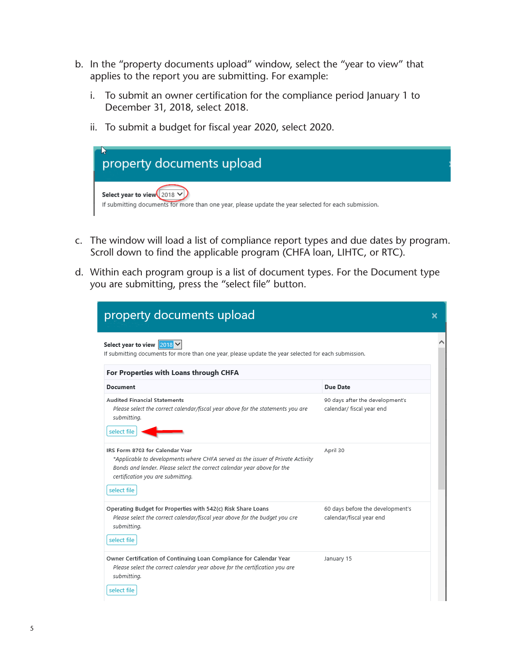- b. In the "property documents upload" window, select the "year to view" that applies to the report you are submitting. For example:
	- i. To submit an owner certification for the compliance period January 1 to December 31, 2018, select 2018.
	- ii. To submit a budget for fiscal year 2020, select 2020.



- c. The window will load a list of compliance report types and due dates by program. Scroll down to find the applicable program (CHFA loan, LIHTC, or RTC).
- d. Within each program group is a list of document types. For the Document type you are submitting, press the "select file" button.

| For Properties with Loans through CHFA<br>Document                                                                                                                                                                                                | Due Date                                                     |
|---------------------------------------------------------------------------------------------------------------------------------------------------------------------------------------------------------------------------------------------------|--------------------------------------------------------------|
| <b>Audited Financial Statements</b><br>Please select the correct calendar/fiscal year above for the statements you are<br>submitting.<br>select file                                                                                              | 90 days after the development's<br>calendar/ fiscal year end |
| IRS Form 8703 for Calendar Year<br>*Applicable to developments where CHFA served as the issuer of Private Activity<br>Bonds and lender. Please select the correct calendar year above for the<br>certification you are submitting.<br>select file | April 30                                                     |
| Operating Budget for Properties with 542(c) Risk Share Loans<br>Please select the correct calendar/fiscal year above for the budget you dre<br>submitting.<br>select file                                                                         | 60 days before the development's<br>calendar/fiscal year end |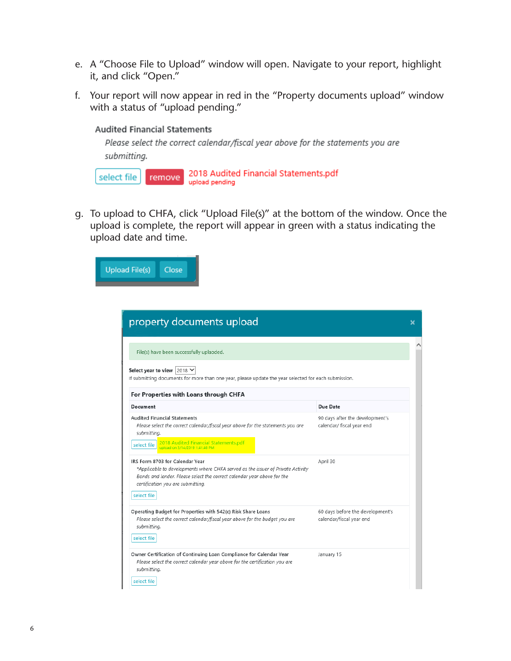- e. A "Choose File to Upload" window will open. Navigate to your report, highlight it, and click "Open."
- f. Your report will now appear in red in the "Property documents upload" window with a status of "upload pending."

**Audited Financial Statements** 

Please select the correct calendar/fiscal year above for the statements you are submitting.

2018 Audited Financial Statements.pdf select file remove upload pending

g. To upload to CHFA, click "Upload File(s)" at the bottom of the window. Once the upload is complete, the report will appear in green with a status indicating the upload date and time.



| Select year to view   2018 $\vee$<br>If submitting documents for more than one year, please update the year selected for each submission.                                                                                          |                                                              |
|------------------------------------------------------------------------------------------------------------------------------------------------------------------------------------------------------------------------------------|--------------------------------------------------------------|
| For Properties with Loans through CHFA                                                                                                                                                                                             |                                                              |
| Document                                                                                                                                                                                                                           | Due Date                                                     |
| <b>Audited Financial Statements</b><br>Please select the correct calendar/fiscal year above for the statements you are<br>submitting.                                                                                              | 90 days after the development's<br>calendar/ fiscal year end |
| 2018 Audited Financial Statements.pdf<br>upload on 3/14/2019 1:41:46 PM<br>select file                                                                                                                                             |                                                              |
| IRS Form 8703 for Calendar Year<br>*Applicable to developments where CHFA served as the issuer of Private Activity<br>Bonds and lender. Please select the correct calendar year above for the<br>certification you are submitting. | April 30                                                     |
| select file                                                                                                                                                                                                                        |                                                              |
| Operating Budget for Properties with 542(c) Risk Share Loans<br>Please select the correct calendar/fiscal year above for the budget you are<br>submitting.<br>select file                                                          | 60 days before the development's<br>calendar/fiscal year end |
|                                                                                                                                                                                                                                    |                                                              |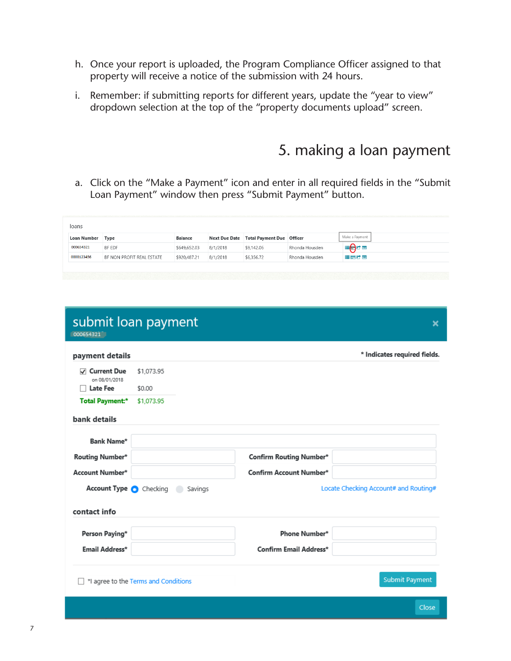- h. Once your report is uploaded, the Program Compliance Officer assigned to that property will receive a notice of the submission with 24 hours.
- i. Remember: if submitting reports for different years, update the "year to view" dropdown selection at the top of the "property documents upload" screen.

## 5. making a loan payment

a. Click on the "Make a Payment" icon and enter in all required fields in the "Submit Loan Payment" window then press "Submit Payment" button.

| loans       |                           |                |          |                                         |                |                |
|-------------|---------------------------|----------------|----------|-----------------------------------------|----------------|----------------|
| Loan Number | Type                      | <b>Balance</b> |          | Next Due Date Total Payment Due Officer |                | Make a Payment |
| 000654321   | BF EDF                    | \$649,652.03   | 8/1/2018 | \$9,142.06                              | Rhonda Housden | ≡⊜∝            |
| 0000123456  | BF NON PROFIT REAL ESTATE | \$920,487.21   | 8/1/2018 | \$6,356.72                              | Rhonda Housden | 漫画の画           |

| 000654321                                                | submit loan payment                  |                         | ×                                     |
|----------------------------------------------------------|--------------------------------------|-------------------------|---------------------------------------|
| payment details                                          |                                      |                         | * Indicates required fields.          |
| <b>○</b> Current Due<br>on 08/01/2018<br><b>Late Fee</b> | \$1,073.95<br>\$0.00                 |                         |                                       |
| <b>Total Payment:*</b><br>bank details                   | \$1,073.95                           |                         |                                       |
| <b>Bank Name*</b>                                        |                                      |                         |                                       |
| Routing Number*                                          |                                      | Confirm Routing Number* |                                       |
| Account Number*                                          |                                      | Confirm Account Number* |                                       |
| Account Type Checking                                    | Savings                              |                         | Locate Checking Account# and Routing# |
| contact info                                             |                                      |                         |                                       |
| Person Paying*                                           |                                      | Phone Number*           |                                       |
| Email Address*                                           |                                      | Confirm Email Address*  |                                       |
|                                                          | *I agree to the Terms and Conditions |                         | <b>Submit Payment</b>                 |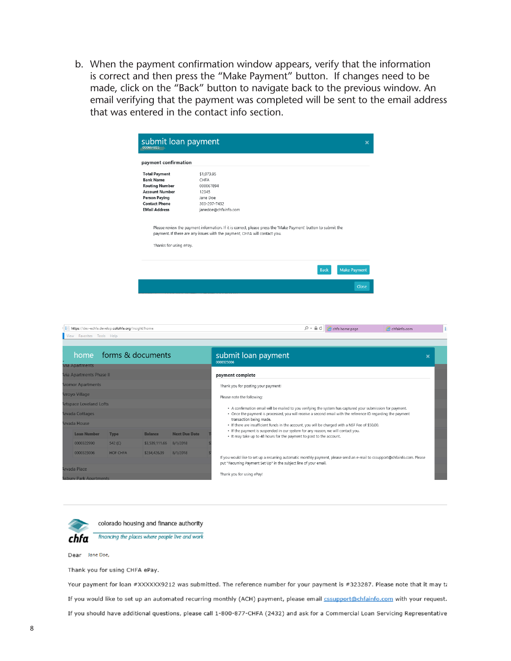b. When the payment confirmation window appears, verify that the information is correct and then press the "Make Payment" button. If changes need to be made, click on the "Back" button to navigate back to the previous window. An email verifying that the payment was completed will be sent to the email address that was entered in the contact info section.

| payment confirmation   |                                                                                                               |
|------------------------|---------------------------------------------------------------------------------------------------------------|
| <b>Total Payment</b>   | \$1,073.95                                                                                                    |
| <b>Bank Name</b>       | CHFA                                                                                                          |
| <b>Routing Number</b>  | 000067894                                                                                                     |
| <b>Account Number</b>  | 12345                                                                                                         |
| <b>Person Paying</b>   | Jane Doe                                                                                                      |
| <b>Contact Phone</b>   | 303-297-7432                                                                                                  |
| <b>EMail Address</b>   | janedoe@chfainfo.com                                                                                          |
|                        | Please review the payment information. If it is correct, please press the 'Make Payment' button to submit the |
| Thanks for using ePay. | payment. If there are any issues with the payment, CHFA will contact you.                                     |
|                        |                                                                                                               |





colorado housing and finance authority



Dear Jane Doe,

Thank you for using CHFA ePay.

Your payment for loan #XXXXXX9212 was submitted. The reference number for your payment is #323287. Please note that it may ta If you would like to set up an automated recurring monthly (ACH) payment, please email **cssupport@chfainfo.com** with your request. If you should have additional questions, please call 1-800-877-CHFA (2432) and ask for a Commercial Loan Servicing Representative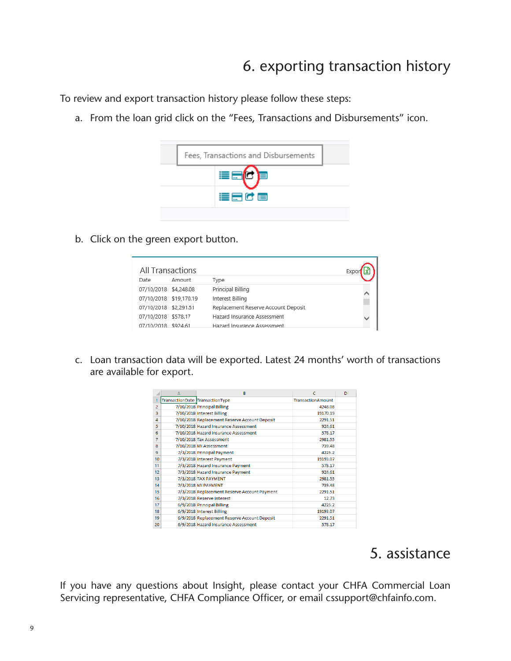## 6. exporting transaction history

To review and export transaction history please follow these steps:

a. From the loan grid click on the "Fees, Transactions and Disbursements" icon.



b. Click on the green export button.

| All Transactions       |        |                                     |  |
|------------------------|--------|-------------------------------------|--|
| Date                   | Amount | Type                                |  |
| 07/10/2018 \$4,248.08  |        | Principal Billing                   |  |
| 07/10/2018 \$19,170.19 |        | Interest Billing                    |  |
| 07/10/2018 \$2,291.51  |        | Replacement Reserve Account Deposit |  |
| 07/10/2018 \$578.17    |        | Hazard Insurance Assessment         |  |
| 07/10/2018 \$924.61    |        | Hazard Insurance Assessment         |  |

c. Loan transaction data will be exported. Latest 24 months' worth of transactions are available for export.

|                | А                               | B                                             | c                        | D |
|----------------|---------------------------------|-----------------------------------------------|--------------------------|---|
|                | TransactionDate TransactionType |                                               | <b>TransactionAmount</b> |   |
| $\overline{2}$ |                                 | 7/10/2018 Principal Billing                   | 4248.08                  |   |
| 3              |                                 | 7/10/2018 Interest Billing                    | 19170.19                 |   |
| 4              |                                 | 7/10/2018 Replacement Reserve Account Deposit | 2291.51                  |   |
| 5              |                                 | 7/10/2018 Hazard Insurance Assessment         | 924.61                   |   |
| 6              |                                 | 7/10/2018 Hazard Insurance Assessment         | 578.17                   |   |
| 7              |                                 | 7/10/2018 Tax Assessment                      | 2981.55                  |   |
| 8              |                                 | 7/10/2018 MI Assessment                       | 739.48                   |   |
| 9              |                                 | 7/3/2018 Principal Payment                    | 4225.2                   |   |
| 10             |                                 | 7/3/2018 Interest Payment                     | 19193.07                 |   |
| 11             |                                 | 7/3/2018 Hazard Insurance Payment             | 578.17                   |   |
| 12             |                                 | 7/3/2018 Hazard Insurance Payment             | 924.61                   |   |
| 13             |                                 | 7/3/2018 TAX PAYMENT                          | 2981.55                  |   |
| 14             |                                 | 7/3/2018 MI PAYMENT                           | 739.48                   |   |
| 15             |                                 | 7/3/2018 Replacement Reserve Account Payment  | 2291.51                  |   |
| 16             |                                 | 7/3/2018 Reserve Interest                     | 12.73                    |   |
| 17             |                                 | 6/9/2018 Principal Billing                    | 4225.2                   |   |
| 18             |                                 | 6/9/2018 Interest Billing                     | 19193.07                 |   |
| 19             |                                 | 6/9/2018 Replacement Reserve Account Deposit  | 2291.51                  |   |
| 20             |                                 | 6/9/2018 Hazard Insurance Assessment          | 578.17                   |   |

#### 5. assistance

If you have any questions about Insight, please contact your CHFA Commercial Loan Servicing representative, CHFA Compliance Officer, or email cssupport@chfainfo.com.